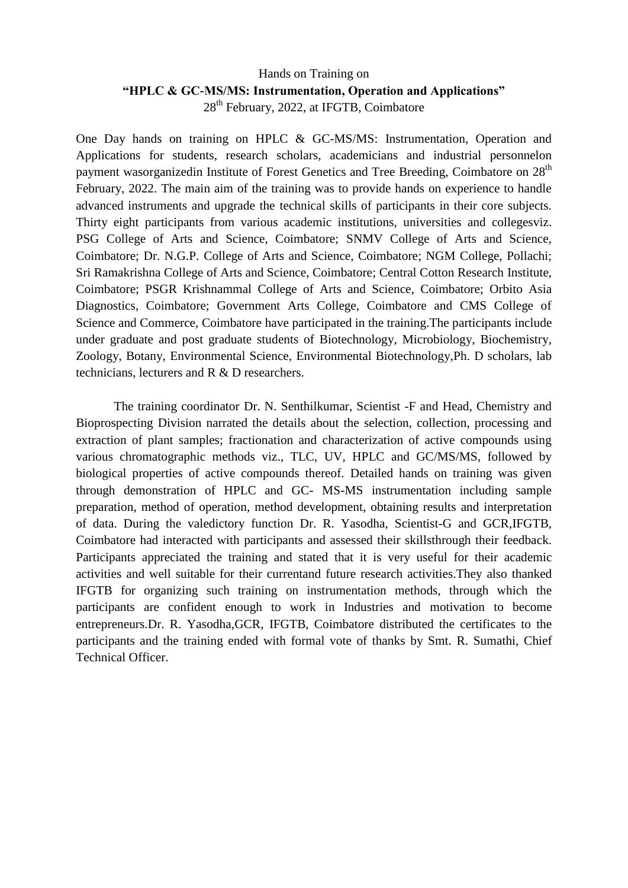## Hands on Training on **"HPLC & GC-MS/MS: Instrumentation, Operation and Applications"** 28<sup>th</sup> February, 2022, at IFGTB, Coimbatore

One Day hands on training on HPLC & GC-MS/MS: Instrumentation, Operation and Applications for students, research scholars, academicians and industrial personnelon payment wasorganizedin Institute of Forest Genetics and Tree Breeding, Coimbatore on 28<sup>th</sup> February, 2022. The main aim of the training was to provide hands on experience to handle advanced instruments and upgrade the technical skills of participants in their core subjects. Thirty eight participants from various academic institutions, universities and collegesviz. PSG College of Arts and Science, Coimbatore; SNMV College of Arts and Science, Coimbatore; Dr. N.G.P. College of Arts and Science, Coimbatore; NGM College, Pollachi; Sri Ramakrishna College of Arts and Science, Coimbatore; Central Cotton Research Institute, Coimbatore; PSGR Krishnammal College of Arts and Science, Coimbatore; Orbito Asia Diagnostics, Coimbatore; Government Arts College, Coimbatore and CMS College of Science and Commerce, Coimbatore have participated in the training.The participants include under graduate and post graduate students of Biotechnology, Microbiology, Biochemistry, Zoology, Botany, Environmental Science, Environmental Biotechnology,Ph. D scholars, lab technicians, lecturers and R & D researchers.

The training coordinator Dr. N. Senthilkumar, Scientist -F and Head, Chemistry and Bioprospecting Division narrated the details about the selection, collection, processing and extraction of plant samples; fractionation and characterization of active compounds using various chromatographic methods viz., TLC, UV, HPLC and GC/MS/MS, followed by biological properties of active compounds thereof. Detailed hands on training was given through demonstration of HPLC and GC- MS-MS instrumentation including sample preparation, method of operation, method development, obtaining results and interpretation of data. During the valedictory function Dr. R. Yasodha, Scientist-G and GCR,IFGTB, Coimbatore had interacted with participants and assessed their skillsthrough their feedback. Participants appreciated the training and stated that it is very useful for their academic activities and well suitable for their currentand future research activities.They also thanked IFGTB for organizing such training on instrumentation methods, through which the participants are confident enough to work in Industries and motivation to become entrepreneurs.Dr. R. Yasodha,GCR, IFGTB, Coimbatore distributed the certificates to the participants and the training ended with formal vote of thanks by Smt. R. Sumathi, Chief Technical Officer.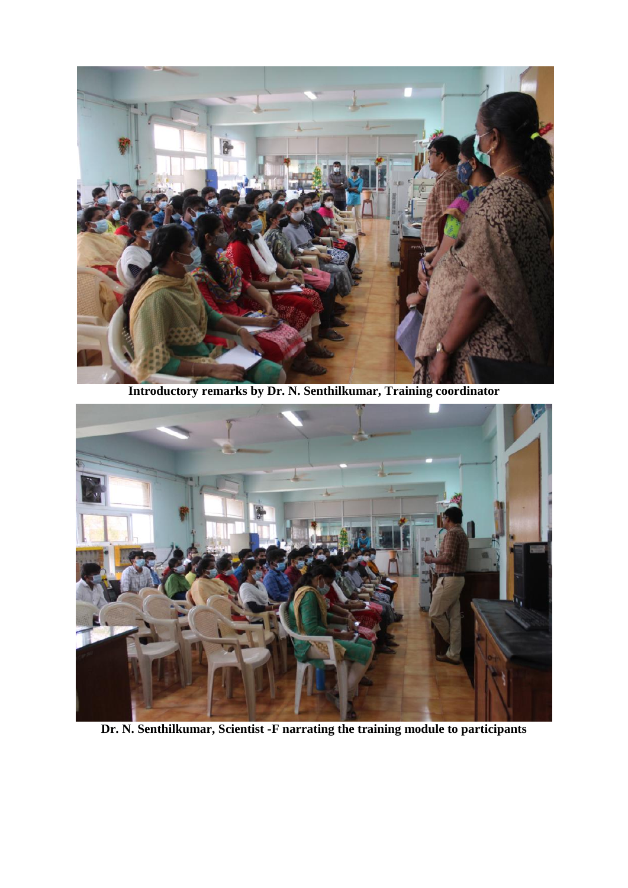

**Introductory remarks by Dr. N. Senthilkumar, Training coordinator**



**Dr. N. Senthilkumar, Scientist -F narrating the training module to participants**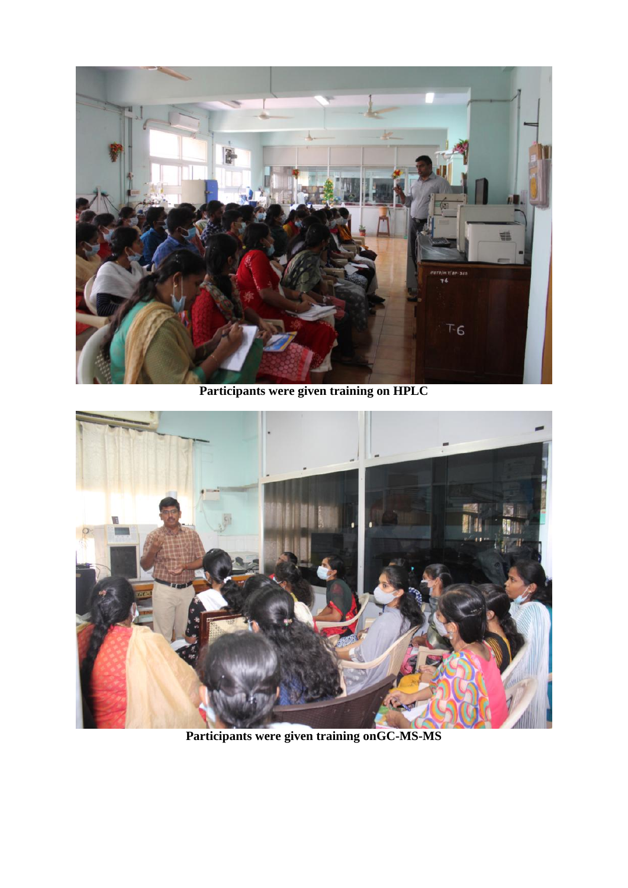

**Participants were given training on HPLC** 



**Participants were given training onGC-MS-MS**